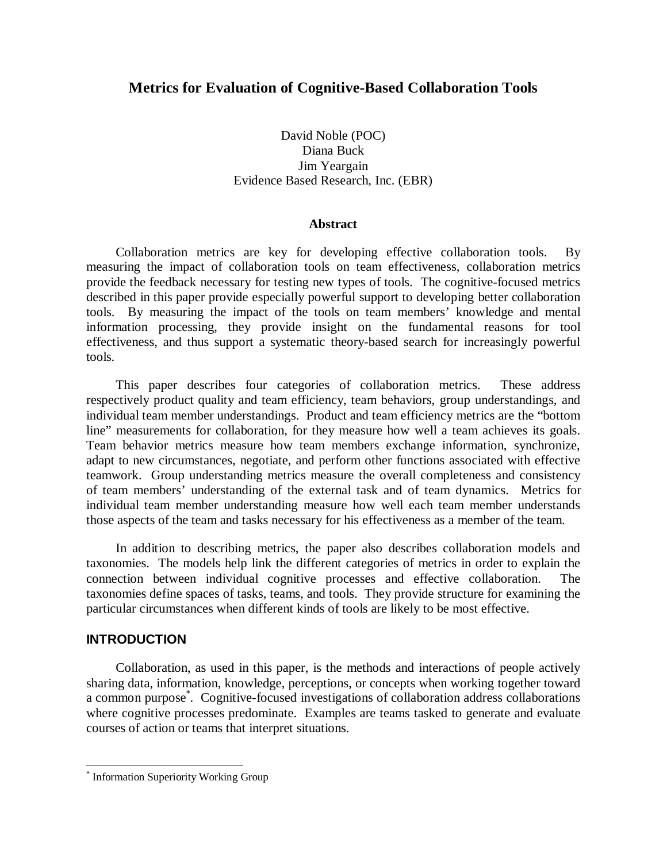## **Metrics for Evaluation of Cognitive-Based Collaboration Tools**

## David Noble (POC) Diana Buck Jim Yeargain Evidence Based Research, Inc. (EBR)

#### **Abstract**

Collaboration metrics are key for developing effective collaboration tools. By measuring the impact of collaboration tools on team effectiveness, collaboration metrics provide the feedback necessary for testing new types of tools. The cognitive-focused metrics described in this paper provide especially powerful support to developing better collaboration tools. By measuring the impact of the tools on team members' knowledge and mental information processing, they provide insight on the fundamental reasons for tool effectiveness, and thus support a systematic theory-based search for increasingly powerful tools.

This paper describes four categories of collaboration metrics. These address respectively product quality and team efficiency, team behaviors, group understandings, and individual team member understandings. Product and team efficiency metrics are the "bottom line" measurements for collaboration, for they measure how well a team achieves its goals. Team behavior metrics measure how team members exchange information, synchronize, adapt to new circumstances, negotiate, and perform other functions associated with effective teamwork. Group understanding metrics measure the overall completeness and consistency of team members' understanding of the external task and of team dynamics. Metrics for individual team member understanding measure how well each team member understands those aspects of the team and tasks necessary for his effectiveness as a member of the team.

In addition to describing metrics, the paper also describes collaboration models and taxonomies. The models help link the different categories of metrics in order to explain the connection between individual cognitive processes and effective collaboration. The taxonomies define spaces of tasks, teams, and tools. They provide structure for examining the particular circumstances when different kinds of tools are likely to be most effective.

#### **INTRODUCTION**

 $\overline{a}$ 

Collaboration, as used in this paper, is the methods and interactions of people actively sharing data, information, knowledge, perceptions, or concepts when working together toward a common purpose\* . Cognitive-focused investigations of collaboration address collaborations where cognitive processes predominate. Examples are teams tasked to generate and evaluate courses of action or teams that interpret situations.

<sup>\*</sup> Information Superiority Working Group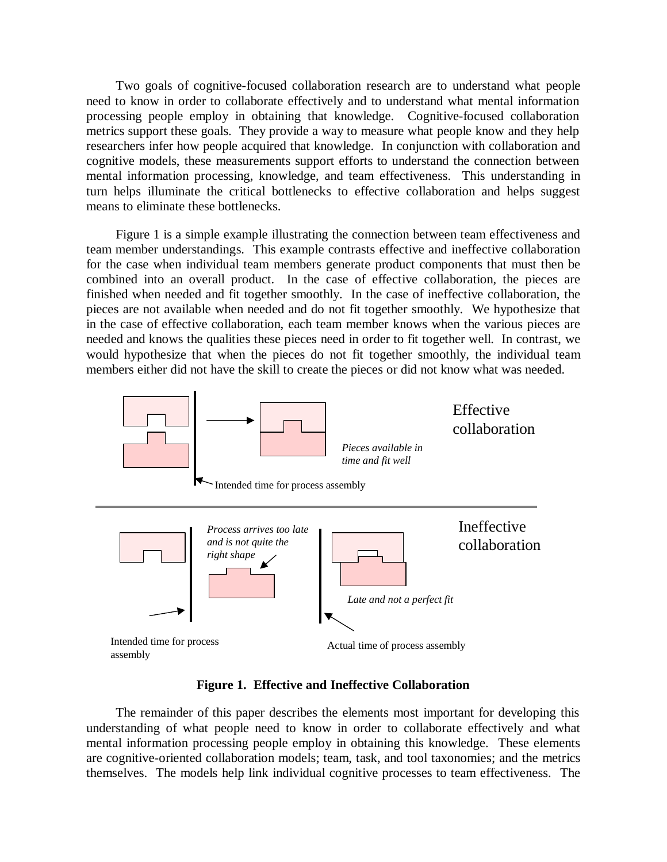Two goals of cognitive-focused collaboration research are to understand what people need to know in order to collaborate effectively and to understand what mental information processing people employ in obtaining that knowledge. Cognitive-focused collaboration metrics support these goals. They provide a way to measure what people know and they help researchers infer how people acquired that knowledge. In conjunction with collaboration and cognitive models, these measurements support efforts to understand the connection between mental information processing, knowledge, and team effectiveness. This understanding in turn helps illuminate the critical bottlenecks to effective collaboration and helps suggest means to eliminate these bottlenecks.

Figure 1 is a simple example illustrating the connection between team effectiveness and team member understandings. This example contrasts effective and ineffective collaboration for the case when individual team members generate product components that must then be combined into an overall product. In the case of effective collaboration, the pieces are finished when needed and fit together smoothly. In the case of ineffective collaboration, the pieces are not available when needed and do not fit together smoothly. We hypothesize that in the case of effective collaboration, each team member knows when the various pieces are needed and knows the qualities these pieces need in order to fit together well. In contrast, we would hypothesize that when the pieces do not fit together smoothly, the individual team members either did not have the skill to create the pieces or did not know what was needed.



**Figure 1. Effective and Ineffective Collaboration**

The remainder of this paper describes the elements most important for developing this understanding of what people need to know in order to collaborate effectively and what mental information processing people employ in obtaining this knowledge. These elements are cognitive-oriented collaboration models; team, task, and tool taxonomies; and the metrics themselves. The models help link individual cognitive processes to team effectiveness. The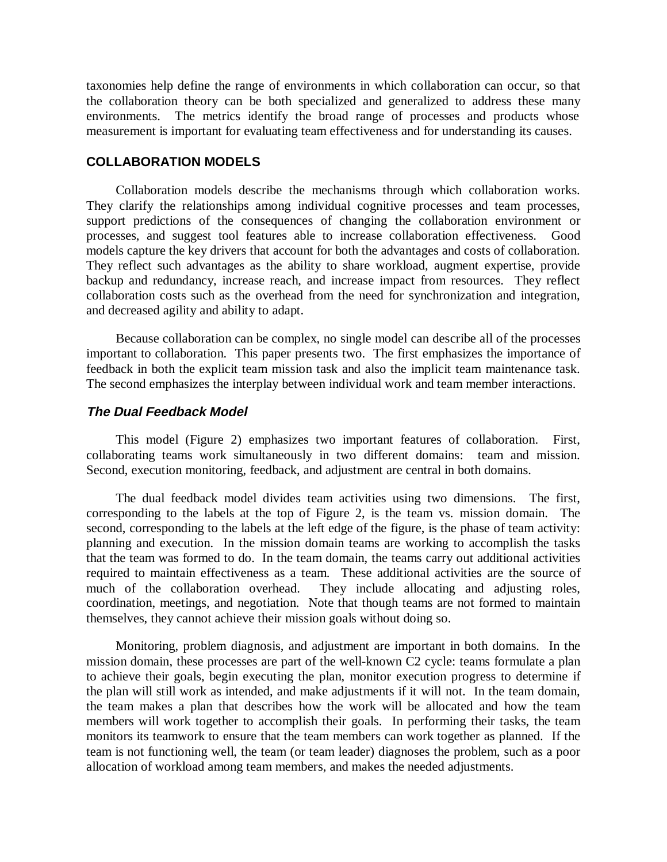taxonomies help define the range of environments in which collaboration can occur, so that the collaboration theory can be both specialized and generalized to address these many environments. The metrics identify the broad range of processes and products whose measurement is important for evaluating team effectiveness and for understanding its causes.

### **COLLABORATION MODELS**

Collaboration models describe the mechanisms through which collaboration works. They clarify the relationships among individual cognitive processes and team processes, support predictions of the consequences of changing the collaboration environment or processes, and suggest tool features able to increase collaboration effectiveness. Good models capture the key drivers that account for both the advantages and costs of collaboration. They reflect such advantages as the ability to share workload, augment expertise, provide backup and redundancy, increase reach, and increase impact from resources. They reflect collaboration costs such as the overhead from the need for synchronization and integration, and decreased agility and ability to adapt.

Because collaboration can be complex, no single model can describe all of the processes important to collaboration. This paper presents two. The first emphasizes the importance of feedback in both the explicit team mission task and also the implicit team maintenance task. The second emphasizes the interplay between individual work and team member interactions.

#### **The Dual Feedback Model**

This model (Figure 2) emphasizes two important features of collaboration. First, collaborating teams work simultaneously in two different domains: team and mission. Second, execution monitoring, feedback, and adjustment are central in both domains.

The dual feedback model divides team activities using two dimensions. The first, corresponding to the labels at the top of Figure 2, is the team vs. mission domain. The second, corresponding to the labels at the left edge of the figure, is the phase of team activity: planning and execution. In the mission domain teams are working to accomplish the tasks that the team was formed to do. In the team domain, the teams carry out additional activities required to maintain effectiveness as a team. These additional activities are the source of much of the collaboration overhead. They include allocating and adjusting roles, coordination, meetings, and negotiation. Note that though teams are not formed to maintain themselves, they cannot achieve their mission goals without doing so.

Monitoring, problem diagnosis, and adjustment are important in both domains. In the mission domain, these processes are part of the well-known C2 cycle: teams formulate a plan to achieve their goals, begin executing the plan, monitor execution progress to determine if the plan will still work as intended, and make adjustments if it will not. In the team domain, the team makes a plan that describes how the work will be allocated and how the team members will work together to accomplish their goals. In performing their tasks, the team monitors its teamwork to ensure that the team members can work together as planned. If the team is not functioning well, the team (or team leader) diagnoses the problem, such as a poor allocation of workload among team members, and makes the needed adjustments.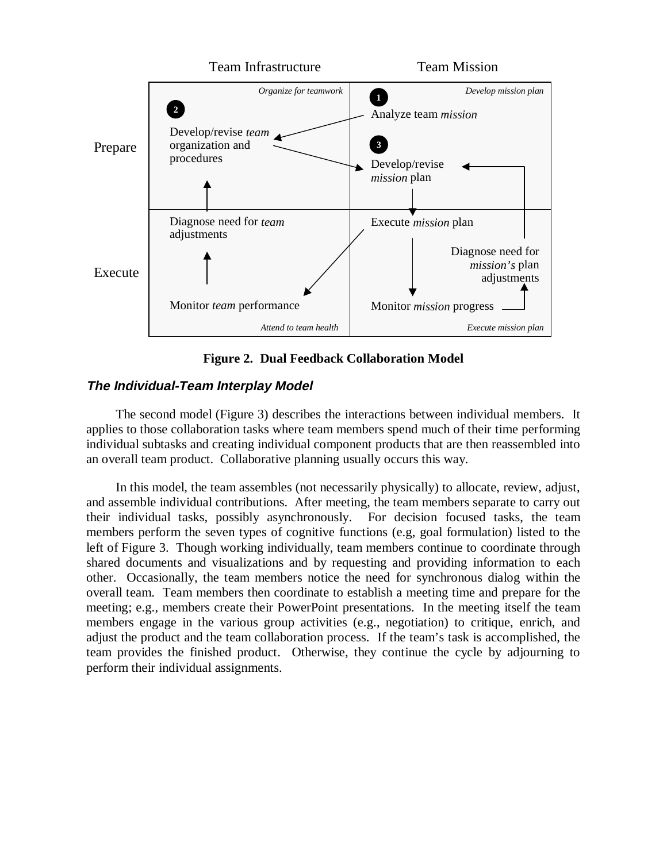

**Figure 2. Dual Feedback Collaboration Model**

# **The Individual-Team Interplay Model**

The second model (Figure 3) describes the interactions between individual members. It applies to those collaboration tasks where team members spend much of their time performing individual subtasks and creating individual component products that are then reassembled into an overall team product. Collaborative planning usually occurs this way.

In this model, the team assembles (not necessarily physically) to allocate, review, adjust, and assemble individual contributions. After meeting, the team members separate to carry out their individual tasks, possibly asynchronously. For decision focused tasks, the team members perform the seven types of cognitive functions (e.g, goal formulation) listed to the left of Figure 3. Though working individually, team members continue to coordinate through shared documents and visualizations and by requesting and providing information to each other. Occasionally, the team members notice the need for synchronous dialog within the overall team. Team members then coordinate to establish a meeting time and prepare for the meeting; e.g., members create their PowerPoint presentations. In the meeting itself the team members engage in the various group activities (e.g., negotiation) to critique, enrich, and adjust the product and the team collaboration process. If the team's task is accomplished, the team provides the finished product. Otherwise, they continue the cycle by adjourning to perform their individual assignments.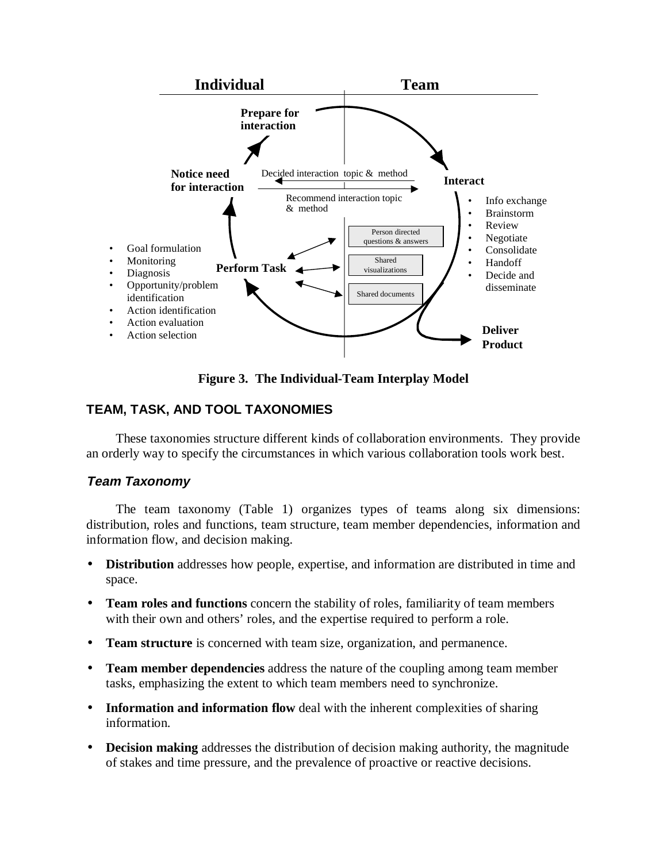

**Figure 3. The Individual-Team Interplay Model**

# **TEAM, TASK, AND TOOL TAXONOMIES**

These taxonomies structure different kinds of collaboration environments. They provide an orderly way to specify the circumstances in which various collaboration tools work best.

## **Team Taxonomy**

The team taxonomy (Table 1) organizes types of teams along six dimensions: distribution, roles and functions, team structure, team member dependencies, information and information flow, and decision making.

- **Distribution** addresses how people, expertise, and information are distributed in time and space.
- **Team roles and functions** concern the stability of roles, familiarity of team members with their own and others' roles, and the expertise required to perform a role.
- **Team structure** is concerned with team size, organization, and permanence.
- **Team member dependencies** address the nature of the coupling among team member tasks, emphasizing the extent to which team members need to synchronize.
- **Information and information flow** deal with the inherent complexities of sharing information.
- **Decision making** addresses the distribution of decision making authority, the magnitude of stakes and time pressure, and the prevalence of proactive or reactive decisions.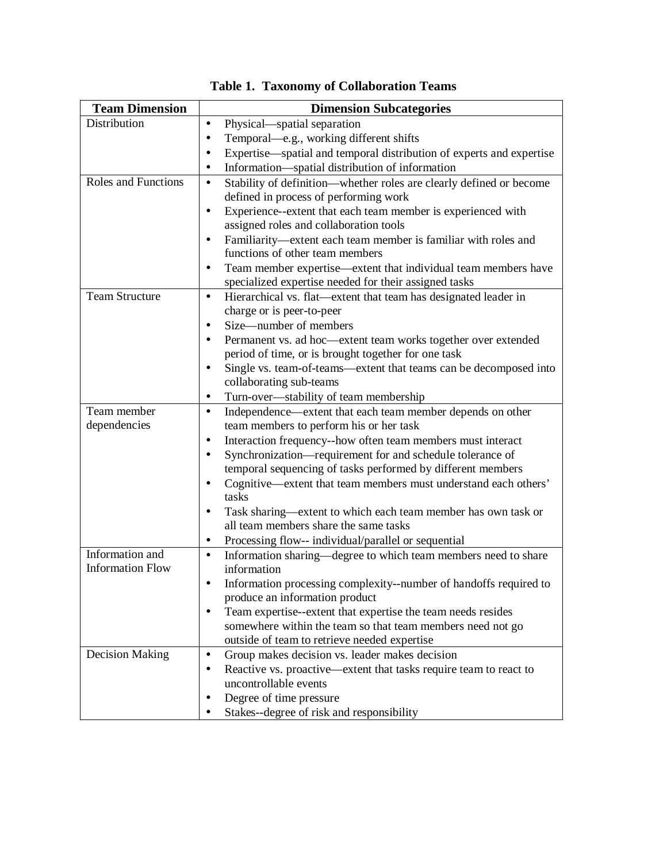| <b>Team Dimension</b>      | <b>Dimension Subcategories</b>                                                                                                    |
|----------------------------|-----------------------------------------------------------------------------------------------------------------------------------|
| Distribution               | Physical—spatial separation<br>$\bullet$                                                                                          |
|                            | Temporal—e.g., working different shifts<br>$\bullet$                                                                              |
|                            | Expertise—spatial and temporal distribution of experts and expertise<br>$\bullet$                                                 |
|                            | Information—spatial distribution of information<br>$\bullet$                                                                      |
| <b>Roles and Functions</b> | Stability of definition—whether roles are clearly defined or become<br>$\bullet$                                                  |
|                            | defined in process of performing work                                                                                             |
|                            | Experience--extent that each team member is experienced with<br>$\bullet$                                                         |
|                            | assigned roles and collaboration tools                                                                                            |
|                            | Familiarity-extent each team member is familiar with roles and<br>$\bullet$                                                       |
|                            | functions of other team members                                                                                                   |
|                            | Team member expertise—extent that individual team members have<br>$\bullet$                                                       |
|                            | specialized expertise needed for their assigned tasks                                                                             |
| <b>Team Structure</b>      | Hierarchical vs. flat—extent that team has designated leader in<br>$\bullet$                                                      |
|                            | charge or is peer-to-peer<br>Size-number of members                                                                               |
|                            | ٠                                                                                                                                 |
|                            | Permanent vs. ad hoc—extent team works together over extended<br>$\bullet$<br>period of time, or is brought together for one task |
|                            | Single vs. team-of-teams—extent that teams can be decomposed into<br>$\bullet$                                                    |
|                            | collaborating sub-teams                                                                                                           |
|                            | Turn-over-stability of team membership<br>$\bullet$                                                                               |
| Team member                | Independence—extent that each team member depends on other<br>$\bullet$                                                           |
| dependencies               | team members to perform his or her task                                                                                           |
|                            | Interaction frequency--how often team members must interact<br>$\bullet$                                                          |
|                            | Synchronization—requirement for and schedule tolerance of<br>$\bullet$                                                            |
|                            | temporal sequencing of tasks performed by different members                                                                       |
|                            | Cognitive—extent that team members must understand each others'<br>$\bullet$                                                      |
|                            | tasks                                                                                                                             |
|                            | Task sharing—extent to which each team member has own task or<br>$\bullet$                                                        |
|                            | all team members share the same tasks                                                                                             |
|                            | Processing flow-- individual/parallel or sequential<br>٠                                                                          |
| Information and            | Information sharing—degree to which team members need to share<br>$\bullet$                                                       |
| <b>Information Flow</b>    | information                                                                                                                       |
|                            | Information processing complexity--number of handoffs required to                                                                 |
|                            | produce an information product                                                                                                    |
|                            | Team expertise-extent that expertise the team needs resides                                                                       |
|                            | somewhere within the team so that team members need not go                                                                        |
|                            | outside of team to retrieve needed expertise                                                                                      |
| <b>Decision Making</b>     | Group makes decision vs. leader makes decision<br>$\bullet$                                                                       |
|                            | Reactive vs. proactive—extent that tasks require team to react to                                                                 |
|                            | uncontrollable events                                                                                                             |
|                            | Degree of time pressure                                                                                                           |
|                            | Stakes--degree of risk and responsibility                                                                                         |

**Table 1. Taxonomy of Collaboration Teams**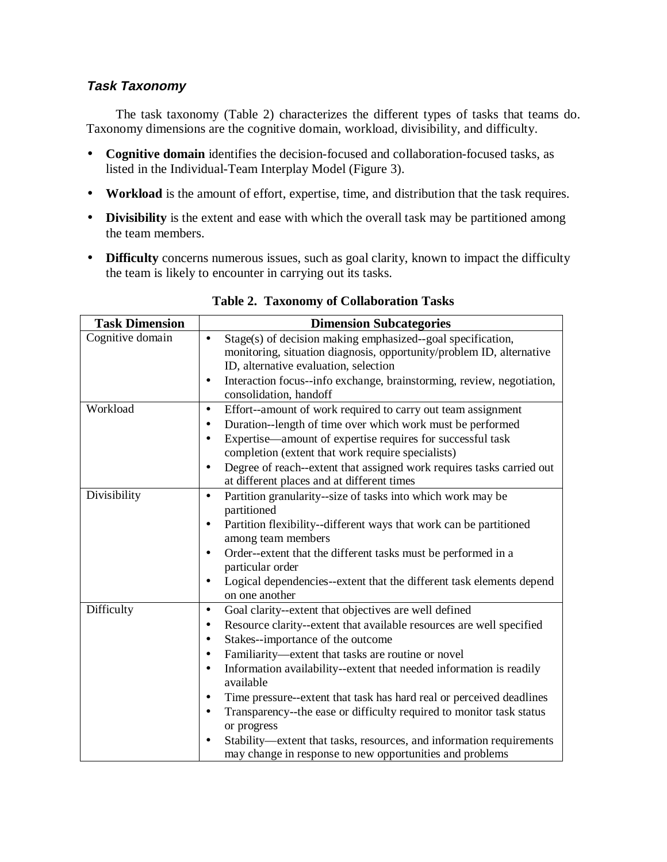# **Task Taxonomy**

The task taxonomy (Table 2) characterizes the different types of tasks that teams do. Taxonomy dimensions are the cognitive domain, workload, divisibility, and difficulty.

- **Cognitive domain** identifies the decision-focused and collaboration-focused tasks, as listed in the Individual-Team Interplay Model (Figure 3).
- **Workload** is the amount of effort, expertise, time, and distribution that the task requires.
- **Divisibility** is the extent and ease with which the overall task may be partitioned among the team members.
- **Difficulty** concerns numerous issues, such as goal clarity, known to impact the difficulty the team is likely to encounter in carrying out its tasks.

| <b>Task Dimension</b> | <b>Dimension Subcategories</b>                                                                                                                                                                                                                                                                                                                                                                                                                                                                                                                                                                                                                                                    |  |
|-----------------------|-----------------------------------------------------------------------------------------------------------------------------------------------------------------------------------------------------------------------------------------------------------------------------------------------------------------------------------------------------------------------------------------------------------------------------------------------------------------------------------------------------------------------------------------------------------------------------------------------------------------------------------------------------------------------------------|--|
| Cognitive domain      | Stage(s) of decision making emphasized--goal specification,<br>$\bullet$<br>monitoring, situation diagnosis, opportunity/problem ID, alternative<br>ID, alternative evaluation, selection                                                                                                                                                                                                                                                                                                                                                                                                                                                                                         |  |
|                       | Interaction focus--info exchange, brainstorming, review, negotiation,<br>٠<br>consolidation, handoff                                                                                                                                                                                                                                                                                                                                                                                                                                                                                                                                                                              |  |
| Workload              | Effort--amount of work required to carry out team assignment<br>$\bullet$<br>Duration--length of time over which work must be performed<br>$\bullet$<br>Expertise—amount of expertise requires for successful task<br>$\bullet$<br>completion (extent that work require specialists)<br>Degree of reach--extent that assigned work requires tasks carried out<br>$\bullet$<br>at different places and at different times                                                                                                                                                                                                                                                          |  |
| Divisibility          | Partition granularity--size of tasks into which work may be<br>٠<br>partitioned<br>Partition flexibility--different ways that work can be partitioned<br>$\bullet$<br>among team members<br>Order--extent that the different tasks must be performed in a<br>$\bullet$<br>particular order<br>Logical dependencies--extent that the different task elements depend<br>٠<br>on one another                                                                                                                                                                                                                                                                                         |  |
| Difficulty            | Goal clarity--extent that objectives are well defined<br>$\bullet$<br>Resource clarity--extent that available resources are well specified<br>٠<br>Stakes--importance of the outcome<br>$\bullet$<br>Familiarity—extent that tasks are routine or novel<br>٠<br>Information availability--extent that needed information is readily<br>$\bullet$<br>available<br>Time pressure-extent that task has hard real or perceived deadlines<br>٠<br>Transparency--the ease or difficulty required to monitor task status<br>$\bullet$<br>or progress<br>Stability—extent that tasks, resources, and information requirements<br>may change in response to new opportunities and problems |  |

## **Table 2. Taxonomy of Collaboration Tasks**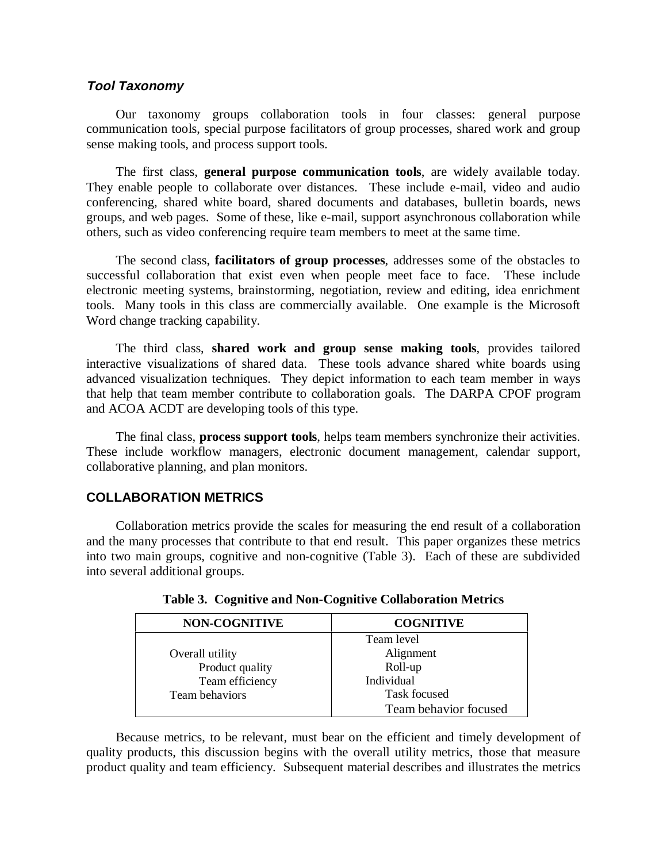### **Tool Taxonomy**

Our taxonomy groups collaboration tools in four classes: general purpose communication tools, special purpose facilitators of group processes, shared work and group sense making tools, and process support tools.

The first class, **general purpose communication tools**, are widely available today. They enable people to collaborate over distances. These include e-mail, video and audio conferencing, shared white board, shared documents and databases, bulletin boards, news groups, and web pages. Some of these, like e-mail, support asynchronous collaboration while others, such as video conferencing require team members to meet at the same time.

The second class, **facilitators of group processes**, addresses some of the obstacles to successful collaboration that exist even when people meet face to face. These include electronic meeting systems, brainstorming, negotiation, review and editing, idea enrichment tools. Many tools in this class are commercially available. One example is the Microsoft Word change tracking capability.

The third class, **shared work and group sense making tools**, provides tailored interactive visualizations of shared data. These tools advance shared white boards using advanced visualization techniques. They depict information to each team member in ways that help that team member contribute to collaboration goals. The DARPA CPOF program and ACOA ACDT are developing tools of this type.

The final class, **process support tools**, helps team members synchronize their activities. These include workflow managers, electronic document management, calendar support, collaborative planning, and plan monitors.

## **COLLABORATION METRICS**

Collaboration metrics provide the scales for measuring the end result of a collaboration and the many processes that contribute to that end result. This paper organizes these metrics into two main groups, cognitive and non-cognitive (Table 3). Each of these are subdivided into several additional groups.

| <b>NON-COGNITIVE</b> | <b>COGNITIVE</b>      |
|----------------------|-----------------------|
|                      | Team level            |
| Overall utility      | Alignment             |
| Product quality      | Roll-up               |
| Team efficiency      | Individual            |
| Team behaviors       | <b>Task focused</b>   |
|                      | Team behavior focused |

**Table 3. Cognitive and Non-Cognitive Collaboration Metrics**

Because metrics, to be relevant, must bear on the efficient and timely development of quality products, this discussion begins with the overall utility metrics, those that measure product quality and team efficiency. Subsequent material describes and illustrates the metrics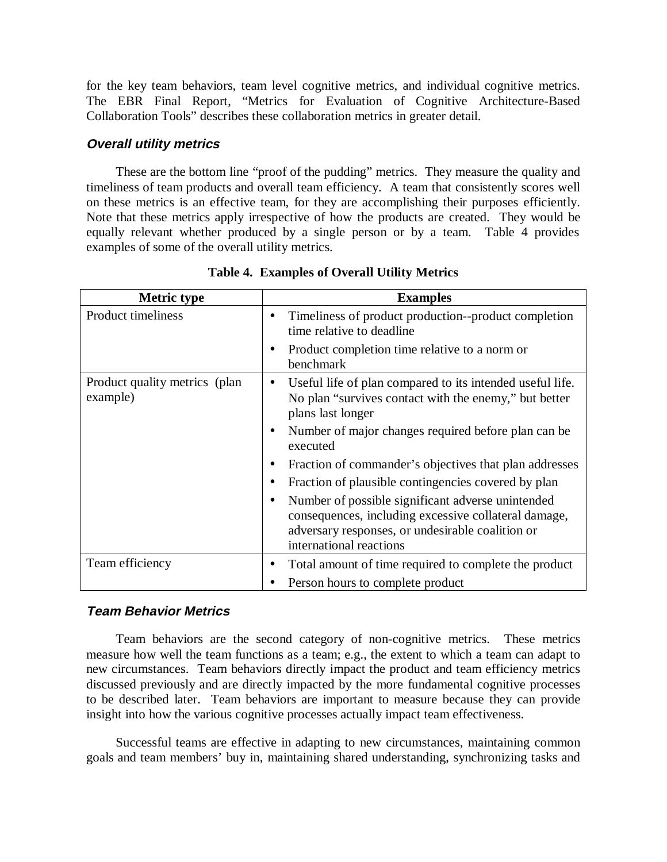for the key team behaviors, team level cognitive metrics, and individual cognitive metrics. The EBR Final Report, "Metrics for Evaluation of Cognitive Architecture-Based Collaboration Tools" describes these collaboration metrics in greater detail.

#### **Overall utility metrics**

These are the bottom line "proof of the pudding" metrics. They measure the quality and timeliness of team products and overall team efficiency. A team that consistently scores well on these metrics is an effective team, for they are accomplishing their purposes efficiently. Note that these metrics apply irrespective of how the products are created. They would be equally relevant whether produced by a single person or by a team. Table 4 provides examples of some of the overall utility metrics.

| <b>Metric type</b>                        | <b>Examples</b>                                                                                                                                                                                       |
|-------------------------------------------|-------------------------------------------------------------------------------------------------------------------------------------------------------------------------------------------------------|
| Product timeliness                        | Timeliness of product production--product completion<br>$\bullet$<br>time relative to deadline                                                                                                        |
|                                           | Product completion time relative to a norm or<br>$\bullet$<br>benchmark                                                                                                                               |
| Product quality metrics (plan<br>example) | Useful life of plan compared to its intended useful life.<br>No plan "survives contact with the enemy," but better<br>plans last longer                                                               |
|                                           | Number of major changes required before plan can be<br>$\bullet$<br>executed                                                                                                                          |
|                                           | Fraction of commander's objectives that plan addresses<br>$\bullet$                                                                                                                                   |
|                                           | Fraction of plausible contingencies covered by plan                                                                                                                                                   |
|                                           | Number of possible significant adverse unintended<br>$\bullet$<br>consequences, including excessive collateral damage,<br>adversary responses, or undesirable coalition or<br>international reactions |
| Team efficiency                           | Total amount of time required to complete the product                                                                                                                                                 |
|                                           | Person hours to complete product                                                                                                                                                                      |

**Table 4. Examples of Overall Utility Metrics**

## **Team Behavior Metrics**

Team behaviors are the second category of non-cognitive metrics. These metrics measure how well the team functions as a team; e.g., the extent to which a team can adapt to new circumstances. Team behaviors directly impact the product and team efficiency metrics discussed previously and are directly impacted by the more fundamental cognitive processes to be described later. Team behaviors are important to measure because they can provide insight into how the various cognitive processes actually impact team effectiveness.

Successful teams are effective in adapting to new circumstances, maintaining common goals and team members' buy in, maintaining shared understanding, synchronizing tasks and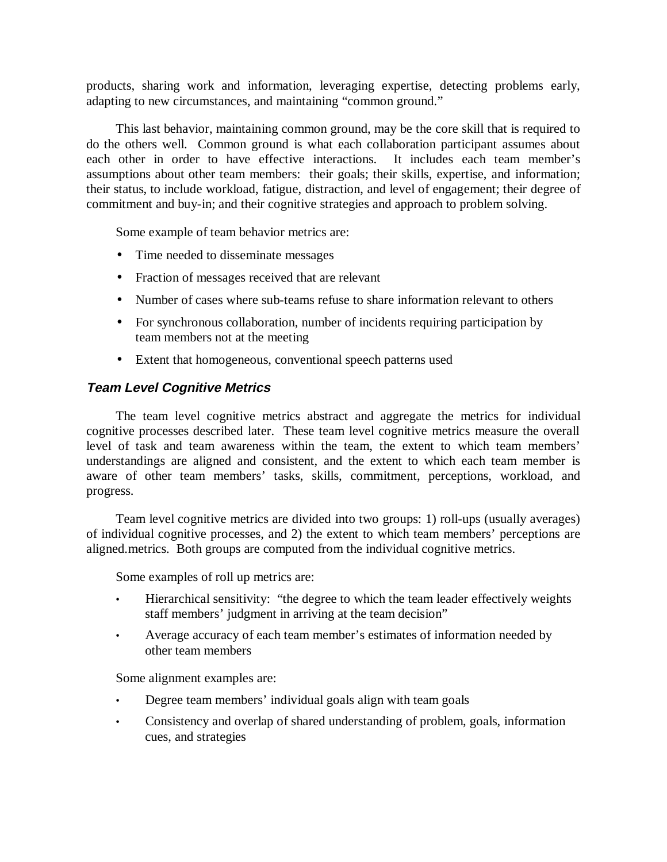products, sharing work and information, leveraging expertise, detecting problems early, adapting to new circumstances, and maintaining "common ground."

This last behavior, maintaining common ground, may be the core skill that is required to do the others well. Common ground is what each collaboration participant assumes about each other in order to have effective interactions. It includes each team member's assumptions about other team members: their goals; their skills, expertise, and information; their status, to include workload, fatigue, distraction, and level of engagement; their degree of commitment and buy-in; and their cognitive strategies and approach to problem solving.

Some example of team behavior metrics are:

- Time needed to disseminate messages
- Fraction of messages received that are relevant
- Number of cases where sub-teams refuse to share information relevant to others
- For synchronous collaboration, number of incidents requiring participation by team members not at the meeting
- Extent that homogeneous, conventional speech patterns used

## **Team Level Cognitive Metrics**

The team level cognitive metrics abstract and aggregate the metrics for individual cognitive processes described later. These team level cognitive metrics measure the overall level of task and team awareness within the team, the extent to which team members' understandings are aligned and consistent, and the extent to which each team member is aware of other team members' tasks, skills, commitment, perceptions, workload, and progress.

Team level cognitive metrics are divided into two groups: 1) roll-ups (usually averages) of individual cognitive processes, and 2) the extent to which team members' perceptions are aligned.metrics. Both groups are computed from the individual cognitive metrics.

Some examples of roll up metrics are:

- Hierarchical sensitivity: "the degree to which the team leader effectively weights staff members' judgment in arriving at the team decision"
- Average accuracy of each team member's estimates of information needed by other team members

Some alignment examples are:

- Degree team members' individual goals align with team goals
- Consistency and overlap of shared understanding of problem, goals, information cues, and strategies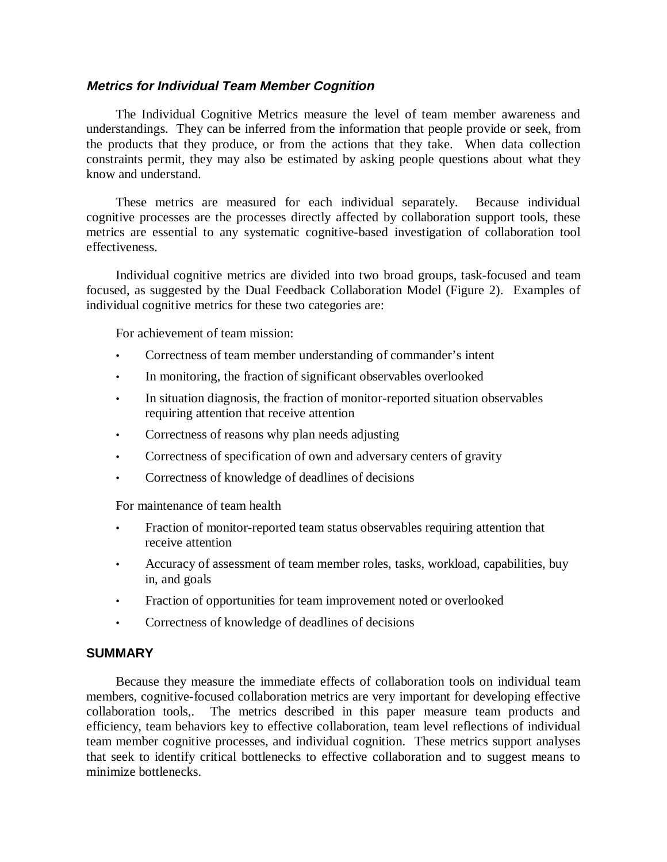#### **Metrics for Individual Team Member Cognition**

The Individual Cognitive Metrics measure the level of team member awareness and understandings. They can be inferred from the information that people provide or seek, from the products that they produce, or from the actions that they take. When data collection constraints permit, they may also be estimated by asking people questions about what they know and understand.

These metrics are measured for each individual separately. Because individual cognitive processes are the processes directly affected by collaboration support tools, these metrics are essential to any systematic cognitive-based investigation of collaboration tool effectiveness.

Individual cognitive metrics are divided into two broad groups, task-focused and team focused, as suggested by the Dual Feedback Collaboration Model (Figure 2). Examples of individual cognitive metrics for these two categories are:

For achievement of team mission:

- Correctness of team member understanding of commander's intent
- In monitoring, the fraction of significant observables overlooked
- In situation diagnosis, the fraction of monitor-reported situation observables requiring attention that receive attention
- Correctness of reasons why plan needs adjusting
- Correctness of specification of own and adversary centers of gravity
- Correctness of knowledge of deadlines of decisions

For maintenance of team health

- Fraction of monitor-reported team status observables requiring attention that receive attention
- Accuracy of assessment of team member roles, tasks, workload, capabilities, buy in, and goals
- Fraction of opportunities for team improvement noted or overlooked
- Correctness of knowledge of deadlines of decisions

#### **SUMMARY**

Because they measure the immediate effects of collaboration tools on individual team members, cognitive-focused collaboration metrics are very important for developing effective collaboration tools,. The metrics described in this paper measure team products and efficiency, team behaviors key to effective collaboration, team level reflections of individual team member cognitive processes, and individual cognition. These metrics support analyses that seek to identify critical bottlenecks to effective collaboration and to suggest means to minimize bottlenecks.